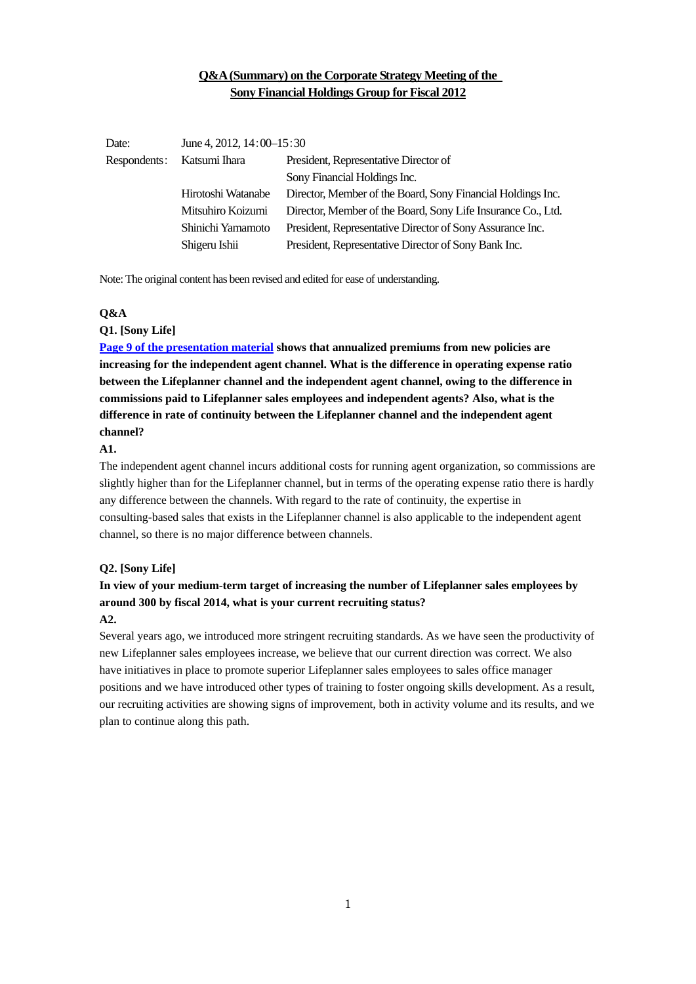# **Q&A (Summary) on the Corporate Strategy Meeting of the Sony Financial Holdings Group for Fiscal 2012**

| Date:        | June 4, 2012, $14:00-15:30$ |                                                              |
|--------------|-----------------------------|--------------------------------------------------------------|
| Respondents: | Katsumi Ihara               | President, Representative Director of                        |
|              |                             | Sony Financial Holdings Inc.                                 |
|              | Hirotoshi Watanabe          | Director, Member of the Board, Sony Financial Holdings Inc.  |
|              | Mitsuhiro Koizumi           | Director, Member of the Board, Sony Life Insurance Co., Ltd. |
|              | Shinichi Yamamoto           | President, Representative Director of Sony Assurance Inc.    |
|              | Shigeru Ishii               | President, Representative Director of Sony Bank Inc.         |

Note: The original content has been revised and edited for ease of understanding.

## **Q&A**

### **Q1. [Sony Life]**

**[Page 9 of the presentation material](http://www.sonyfh.co.jp/en/financial_info/management_vision/120604_01.pdf) shows that annualized premiums from new policies are increasing for the independent agent channel. What is the difference in operating expense ratio between the Lifeplanner channel and the independent agent channel, owing to the difference in commissions paid to Lifeplanner sales employees and independent agents? Also, what is the difference in rate of continuity between the Lifeplanner channel and the independent agent channel?** 

### **A1.**

The independent agent channel incurs additional costs for running agent organization, so commissions are slightly higher than for the Lifeplanner channel, but in terms of the operating expense ratio there is hardly any difference between the channels. With regard to the rate of continuity, the expertise in consulting-based sales that exists in the Lifeplanner channel is also applicable to the independent agent channel, so there is no major difference between channels.

### **Q2. [Sony Life]**

# **In view of your medium-term target of increasing the number of Lifeplanner sales employees by around 300 by fiscal 2014, what is your current recruiting status?**

## **A2.**

Several years ago, we introduced more stringent recruiting standards. As we have seen the productivity of new Lifeplanner sales employees increase, we believe that our current direction was correct. We also have initiatives in place to promote superior Lifeplanner sales employees to sales office manager positions and we have introduced other types of training to foster ongoing skills development. As a result, our recruiting activities are showing signs of improvement, both in activity volume and its results, and we plan to continue along this path.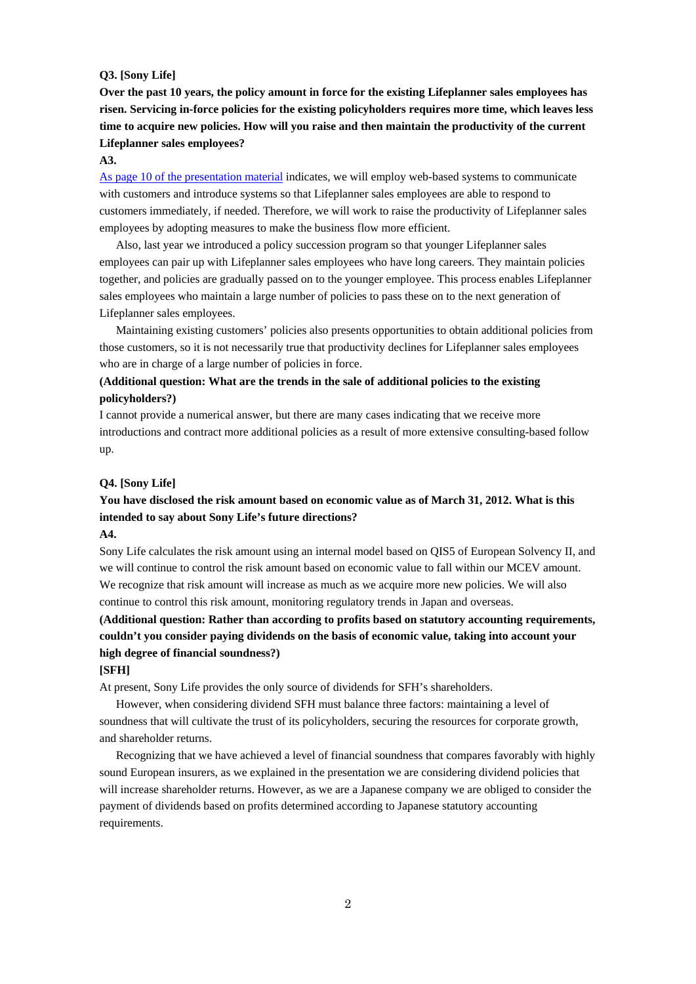### **Q3. [Sony Life]**

**Over the past 10 years, the policy amount in force for the existing Lifeplanner sales employees has risen. Servicing in-force policies for the existing policyholders requires more time, which leaves less time to acquire new policies. How will you raise and then maintain the productivity of the current Lifeplanner sales employees?** 

#### **A3.**

[As page 10 of the presentation material](http://www.sonyfh.co.jp/en/financial_info/management_vision/120604_01.pdf) indicates, we will employ web-based systems to communicate with customers and introduce systems so that Lifeplanner sales employees are able to respond to customers immediately, if needed. Therefore, we will work to raise the productivity of Lifeplanner sales employees by adopting measures to make the business flow more efficient.

 Also, last year we introduced a policy succession program so that younger Lifeplanner sales employees can pair up with Lifeplanner sales employees who have long careers. They maintain policies together, and policies are gradually passed on to the younger employee. This process enables Lifeplanner sales employees who maintain a large number of policies to pass these on to the next generation of Lifeplanner sales employees.

 Maintaining existing customers' policies also presents opportunities to obtain additional policies from those customers, so it is not necessarily true that productivity declines for Lifeplanner sales employees who are in charge of a large number of policies in force.

# **(Additional question: What are the trends in the sale of additional policies to the existing policyholders?)**

I cannot provide a numerical answer, but there are many cases indicating that we receive more introductions and contract more additional policies as a result of more extensive consulting-based follow up.

### **Q4. [Sony Life]**

# **You have disclosed the risk amount based on economic value as of March 31, 2012. What is this intended to say about Sony Life's future directions?**

### **A4.**

Sony Life calculates the risk amount using an internal model based on QIS5 of European Solvency II, and we will continue to control the risk amount based on economic value to fall within our MCEV amount. We recognize that risk amount will increase as much as we acquire more new policies. We will also continue to control this risk amount, monitoring regulatory trends in Japan and overseas.

# **(Additional question: Rather than according to profits based on statutory accounting requirements, couldn't you consider paying dividends on the basis of economic value, taking into account your high degree of financial soundness?)**

### **[SFH]**

At present, Sony Life provides the only source of dividends for SFH's shareholders.

 However, when considering dividend SFH must balance three factors: maintaining a level of soundness that will cultivate the trust of its policyholders, securing the resources for corporate growth, and shareholder returns.

 Recognizing that we have achieved a level of financial soundness that compares favorably with highly sound European insurers, as we explained in the presentation we are considering dividend policies that will increase shareholder returns. However, as we are a Japanese company we are obliged to consider the payment of dividends based on profits determined according to Japanese statutory accounting requirements.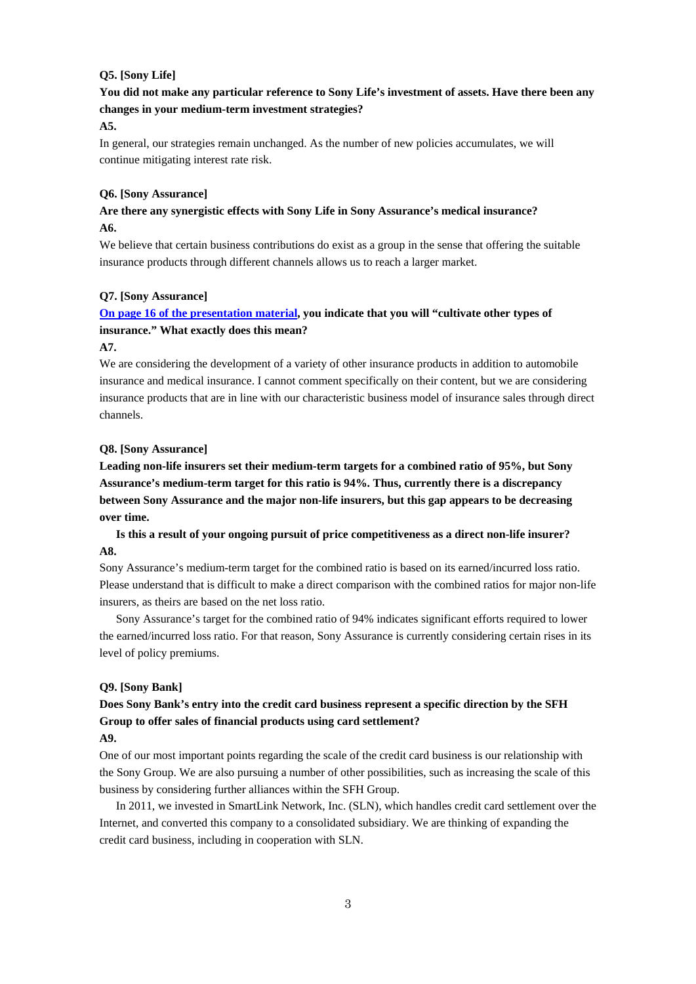### **Q5. [Sony Life]**

# **You did not make any particular reference to Sony Life's investment of assets. Have there been any changes in your medium-term investment strategies?**

### **A5.**

In general, our strategies remain unchanged. As the number of new policies accumulates, we will continue mitigating interest rate risk.

### **Q6. [Sony Assurance]**

## **Are there any synergistic effects with Sony Life in Sony Assurance's medical insurance? A6.**

We believe that certain business contributions do exist as a group in the sense that offering the suitable insurance products through different channels allows us to reach a larger market.

#### **Q7. [Sony Assurance]**

# **[On page 16 of the presentation material,](http://www.sonyfh.co.jp/en/financial_info/management_vision/120604_01.pdf) you indicate that you will "cultivate other types of insurance." What exactly does this mean?**

### **A7.**

We are considering the development of a variety of other insurance products in addition to automobile insurance and medical insurance. I cannot comment specifically on their content, but we are considering insurance products that are in line with our characteristic business model of insurance sales through direct channels.

### **Q8. [Sony Assurance]**

**Leading non-life insurers set their medium-term targets for a combined ratio of 95%, but Sony Assurance's medium-term target for this ratio is 94%. Thus, currently there is a discrepancy between Sony Assurance and the major non-life insurers, but this gap appears to be decreasing over time.** 

 **Is this a result of your ongoing pursuit of price competitiveness as a direct non-life insurer? A8.** 

Sony Assurance's medium-term target for the combined ratio is based on its earned/incurred loss ratio. Please understand that is difficult to make a direct comparison with the combined ratios for major non-life insurers, as theirs are based on the net loss ratio.

 Sony Assurance's target for the combined ratio of 94% indicates significant efforts required to lower the earned/incurred loss ratio. For that reason, Sony Assurance is currently considering certain rises in its level of policy premiums.

### **Q9. [Sony Bank]**

# **Does Sony Bank's entry into the credit card business represent a specific direction by the SFH Group to offer sales of financial products using card settlement?**

### **A9.**

One of our most important points regarding the scale of the credit card business is our relationship with the Sony Group. We are also pursuing a number of other possibilities, such as increasing the scale of this business by considering further alliances within the SFH Group.

 In 2011, we invested in SmartLink Network, Inc. (SLN), which handles credit card settlement over the Internet, and converted this company to a consolidated subsidiary. We are thinking of expanding the credit card business, including in cooperation with SLN.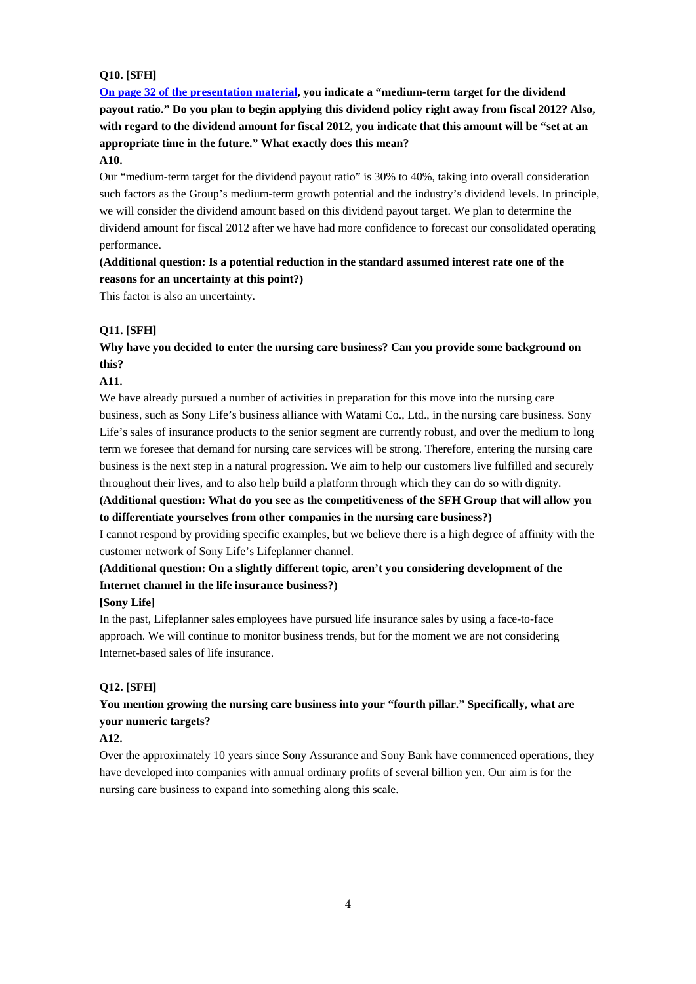### **Q10. [SFH]**

**[On page 32 of the presentation material,](http://www.sonyfh.co.jp/en/financial_info/management_vision/120604_01.pdf) you indicate a "medium-term target for the dividend payout ratio." Do you plan to begin applying this dividend policy right away from fiscal 2012? Also, with regard to the dividend amount for fiscal 2012, you indicate that this amount will be "set at an appropriate time in the future." What exactly does this mean?** 

## **A10.**

Our "medium-term target for the dividend payout ratio" is 30% to 40%, taking into overall consideration such factors as the Group's medium-term growth potential and the industry's dividend levels. In principle, we will consider the dividend amount based on this dividend payout target. We plan to determine the dividend amount for fiscal 2012 after we have had more confidence to forecast our consolidated operating performance.

# **(Additional question: Is a potential reduction in the standard assumed interest rate one of the reasons for an uncertainty at this point?)**

This factor is also an uncertainty.

## **Q11. [SFH]**

## **Why have you decided to enter the nursing care business? Can you provide some background on this?**

## **A11.**

We have already pursued a number of activities in preparation for this move into the nursing care business, such as Sony Life's business alliance with Watami Co., Ltd., in the nursing care business. Sony Life's sales of insurance products to the senior segment are currently robust, and over the medium to long term we foresee that demand for nursing care services will be strong. Therefore, entering the nursing care business is the next step in a natural progression. We aim to help our customers live fulfilled and securely throughout their lives, and to also help build a platform through which they can do so with dignity.

**(Additional question: What do you see as the competitiveness of the SFH Group that will allow you to differentiate yourselves from other companies in the nursing care business?)** 

I cannot respond by providing specific examples, but we believe there is a high degree of affinity with the customer network of Sony Life's Lifeplanner channel.

# **(Additional question: On a slightly different topic, aren't you considering development of the Internet channel in the life insurance business?)**

### **[Sony Life]**

In the past, Lifeplanner sales employees have pursued life insurance sales by using a face-to-face approach. We will continue to monitor business trends, but for the moment we are not considering Internet-based sales of life insurance.

### **Q12. [SFH]**

# **You mention growing the nursing care business into your "fourth pillar." Specifically, what are your numeric targets?**

## **A12.**

Over the approximately 10 years since Sony Assurance and Sony Bank have commenced operations, they have developed into companies with annual ordinary profits of several billion yen. Our aim is for the nursing care business to expand into something along this scale.